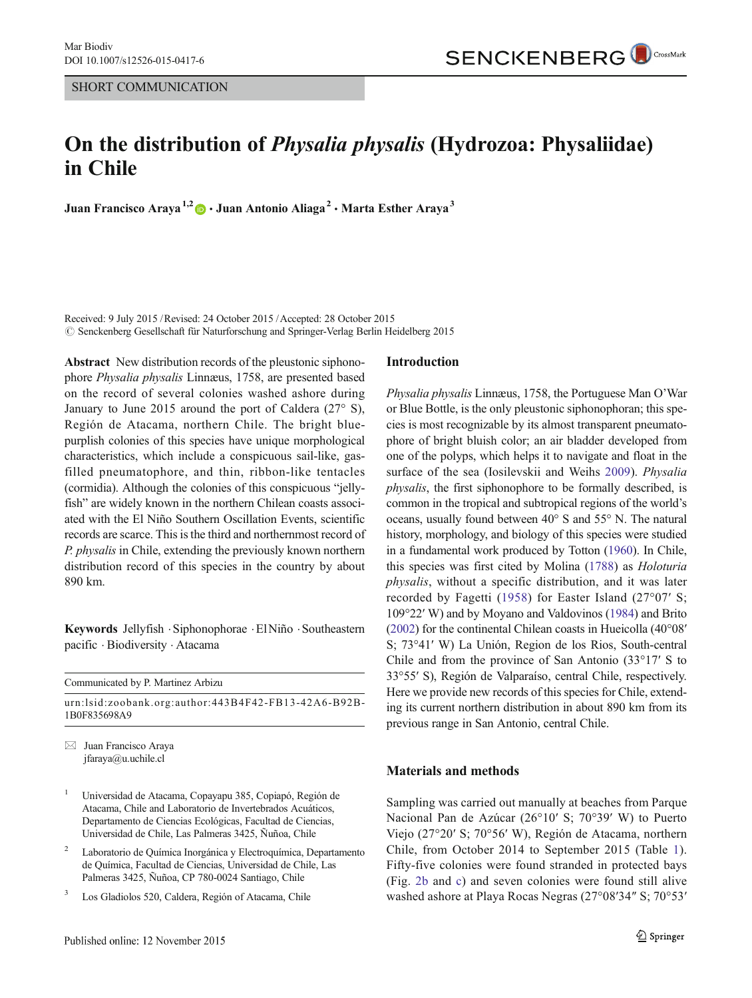# On the distribution of Physalia physalis (Hydrozoa: Physaliidae) in Chile

Juan Francisco Araya<sup>1,2</sup>  $\bullet$  · Juan Antonio Aliaga<sup>2</sup> · Marta Esther Araya<sup>3</sup>

Received: 9 July 2015 /Revised: 24 October 2015 /Accepted: 28 October 2015  $\oslash$  Senckenberg Gesellschaft für Naturforschung and Springer-Verlag Berlin Heidelberg 2015

Abstract New distribution records of the pleustonic siphonophore Physalia physalis Linnæus, 1758, are presented based on the record of several colonies washed ashore during January to June 2015 around the port of Caldera (27° S), Región de Atacama, northern Chile. The bright bluepurplish colonies of this species have unique morphological characteristics, which include a conspicuous sail-like, gasfilled pneumatophore, and thin, ribbon-like tentacles (cormidia). Although the colonies of this conspicuous "jellyfish" are widely known in the northern Chilean coasts associated with the El Niño Southern Oscillation Events, scientific records are scarce. This is the third and northernmost record of P. physalis in Chile, extending the previously known northern distribution record of this species in the country by about 890 km.

Keywords Jellyfish .Siphonophorae .ElNiño .Southeastern pacific . Biodiversity . Atacama

| Communicated by P. Martinez Arbizu                                   |
|----------------------------------------------------------------------|
| urn:lsid:zoobank.org:author:443B4F42-FB13-42A6-B92B-<br>1B0F835698A9 |

 $\boxtimes$  Juan Francisco Araya jfaraya@u.uchile.cl

- <sup>1</sup> Universidad de Atacama, Copayapu 385, Copiapó, Región de Atacama, Chile and Laboratorio de Invertebrados Acuáticos, Departamento de Ciencias Ecológicas, Facultad de Ciencias, Universidad de Chile, Las Palmeras 3425, Ñuñoa, Chile
- <sup>2</sup> Laboratorio de Química Inorgánica y Electroquímica, Departamento de Química, Facultad de Ciencias, Universidad de Chile, Las Palmeras 3425, Ñuñoa, CP 780-0024 Santiago, Chile
- Los Gladiolos 520, Caldera, Región of Atacama, Chile

#### Introduction

Physalia physalis Linnæus, 1758, the Portuguese Man O'War or Blue Bottle, is the only pleustonic siphonophoran; this species is most recognizable by its almost transparent pneumatophore of bright bluish color; an air bladder developed from one of the polyps, which helps it to navigate and float in the surface of the sea (Iosilevskii and Weihs [2009\)](#page-3-0). Physalia physalis, the first siphonophore to be formally described, is common in the tropical and subtropical regions of the world's oceans, usually found between 40° S and 55° N. The natural history, morphology, and biology of this species were studied in a fundamental work produced by Totton ([1960](#page-4-0)). In Chile, this species was first cited by Molina ([1788](#page-4-0)) as Holoturia physalis, without a specific distribution, and it was later recorded by Fagetti ([1958](#page-3-0)) for Easter Island (27°07′ S; 109°22′ W) and by Moyano and Valdovinos ([1984](#page-4-0)) and Brito [\(2002\)](#page-3-0) for the continental Chilean coasts in Hueicolla (40°08′ S; 73°41′ W) La Unión, Region de los Rios, South-central Chile and from the province of San Antonio (33°17′ S to 33°55′ S), Región de Valparaíso, central Chile, respectively. Here we provide new records of this species for Chile, extending its current northern distribution in about 890 km from its previous range in San Antonio, central Chile.

## Materials and methods

Sampling was carried out manually at beaches from Parque Nacional Pan de Azúcar (26°10′ S; 70°39′ W) to Puerto Viejo (27°20′ S; 70°56′ W), Región de Atacama, northern Chile, from October 2014 to September 2015 (Table [1](#page-1-0)). Fifty-five colonies were found stranded in protected bays (Fig. [2b](#page-2-0) and [c\)](#page-2-0) and seven colonies were found still alive washed ashore at Playa Rocas Negras (27°08′34″ S; 70°53′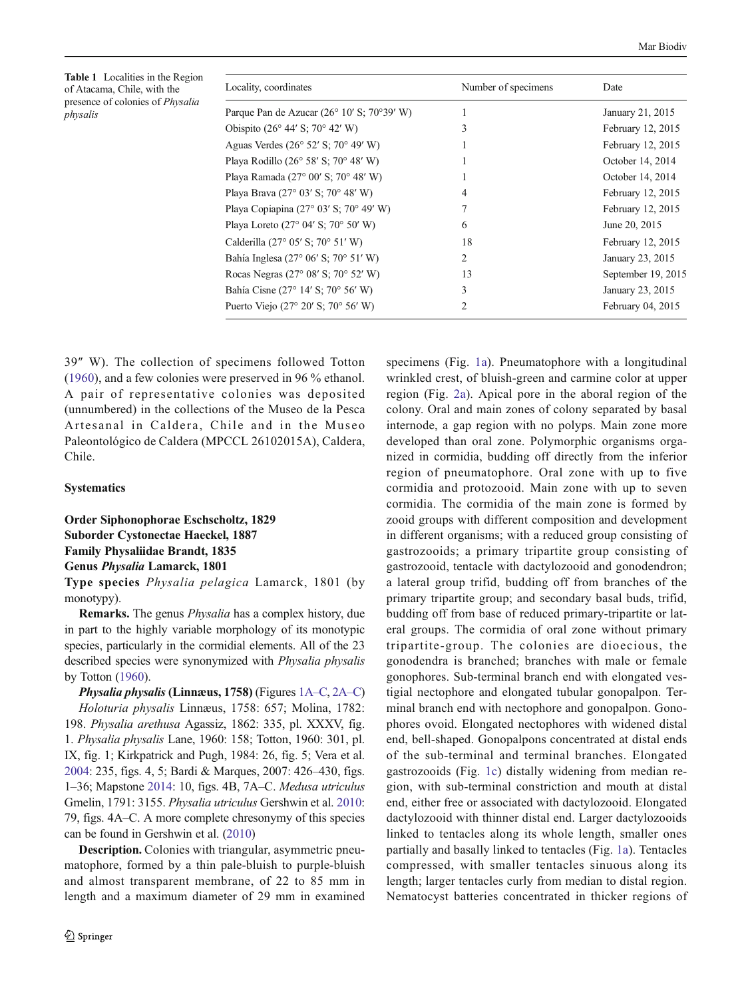<span id="page-1-0"></span>Table 1 Localities in the Region of Atacama, Chile, with the presence of colonies of Physalia physalis

| Locality, coordinates                                      | Number of specimens | Date               |  |
|------------------------------------------------------------|---------------------|--------------------|--|
| Parque Pan de Azucar $(26^{\circ} 10' S; 70^{\circ}39' W)$ |                     | January 21, 2015   |  |
| Obispito $(26^{\circ} 44' S; 70^{\circ} 42' W)$            | 3                   | February 12, 2015  |  |
| Aguas Verdes ( $26^{\circ}$ 52' S; $70^{\circ}$ 49' W)     |                     | February 12, 2015  |  |
| Playa Rodillo (26° 58' S; 70° 48' W)                       | 1                   | October 14, 2014   |  |
| Playa Ramada (27° 00' S; 70° 48' W)                        |                     | October 14, 2014   |  |
| Playa Brava (27 $^{\circ}$ 03' S; 70 $^{\circ}$ 48' W)     | 4                   | February 12, 2015  |  |
| Playa Copiapina (27 $\degree$ 03' S; 70 $\degree$ 49' W)   |                     | February 12, 2015  |  |
| Playa Loreto (27 $\degree$ 04' S; 70 $\degree$ 50' W)      | 6                   | June 20, 2015      |  |
| Calderilla (27° 05' S; 70° 51' W)                          | 18                  | February 12, 2015  |  |
| Bahía Inglesa (27° 06' S; 70° 51' W)                       | 2                   | January 23, 2015   |  |
| Rocas Negras (27° 08' S; 70° 52' W)                        | 13                  | September 19, 2015 |  |
| Bahía Cisne (27° 14′ S; 70° 56′ W)                         | 3                   | January 23, 2015   |  |
| Puerto Viejo (27° 20' S; 70° 56' W)                        | 2                   | February 04, 2015  |  |
|                                                            |                     |                    |  |

39″ W). The collection of specimens followed Totton [\(1960\)](#page-4-0), and a few colonies were preserved in 96 % ethanol. A pair of representative colonies was deposited (unnumbered) in the collections of the Museo de la Pesca Artesanal in Caldera, Chile and in the Museo Paleontológico de Caldera (MPCCL 26102015A), Caldera, Chile.

## **Systematics**

Order Siphonophorae Eschscholtz, 1829 Suborder Cystonectae Haeckel, 1887 Family Physaliidae Brandt, 1835 Genus Physalia Lamarck, 1801

Type species Physalia pelagica Lamarck, 1801 (by monotypy).

Remarks. The genus Physalia has a complex history, due in part to the highly variable morphology of its monotypic species, particularly in the cormidial elements. All of the 23 described species were synonymized with Physalia physalis by Totton ([1960](#page-4-0)).

Physalia physalis (Linnæus, 1758) (Figures [1A](#page-2-0)–C, [2A](#page-2-0)–C) Holoturia physalis Linnæus, 1758: 657; Molina, 1782: 198. Physalia arethusa Agassiz, 1862: 335, pl. XXXV, fig. 1. Physalia physalis Lane, 1960: 158; Totton, 1960: 301, pl. IX, fig. 1; Kirkpatrick and Pugh, 1984: 26, fig. 5; Vera et al. [2004:](#page-4-0) 235, figs. 4, 5; Bardi & Marques, 2007: 426–430, figs. 1–36; Mapstone [2014:](#page-4-0) 10, figs. 4B, 7A–C. Medusa utriculus Gmelin, 1791: 3155. Physalia utriculus Gershwin et al. [2010](#page-3-0): 79, figs. 4A–C. A more complete chresonymy of this species can be found in Gershwin et al. ([2010](#page-3-0))

Description. Colonies with triangular, asymmetric pneumatophore, formed by a thin pale-bluish to purple-bluish and almost transparent membrane, of 22 to 85 mm in length and a maximum diameter of 29 mm in examined specimens (Fig. [1a\)](#page-2-0). Pneumatophore with a longitudinal wrinkled crest, of bluish-green and carmine color at upper region (Fig. [2a](#page-2-0)). Apical pore in the aboral region of the colony. Oral and main zones of colony separated by basal internode, a gap region with no polyps. Main zone more developed than oral zone. Polymorphic organisms organized in cormidia, budding off directly from the inferior region of pneumatophore. Oral zone with up to five cormidia and protozooid. Main zone with up to seven cormidia. The cormidia of the main zone is formed by zooid groups with different composition and development in different organisms; with a reduced group consisting of gastrozooids; a primary tripartite group consisting of gastrozooid, tentacle with dactylozooid and gonodendron; a lateral group trifid, budding off from branches of the primary tripartite group; and secondary basal buds, trifid, budding off from base of reduced primary-tripartite or lateral groups. The cormidia of oral zone without primary tripartite-group. The colonies are dioecious, the gonodendra is branched; branches with male or female gonophores. Sub-terminal branch end with elongated vestigial nectophore and elongated tubular gonopalpon. Terminal branch end with nectophore and gonopalpon. Gonophores ovoid. Elongated nectophores with widened distal end, bell-shaped. Gonopalpons concentrated at distal ends of the sub-terminal and terminal branches. Elongated gastrozooids (Fig. [1c](#page-2-0)) distally widening from median region, with sub-terminal constriction and mouth at distal end, either free or associated with dactylozooid. Elongated dactylozooid with thinner distal end. Larger dactylozooids linked to tentacles along its whole length, smaller ones partially and basally linked to tentacles (Fig. [1a\)](#page-2-0). Tentacles compressed, with smaller tentacles sinuous along its length; larger tentacles curly from median to distal region. Nematocyst batteries concentrated in thicker regions of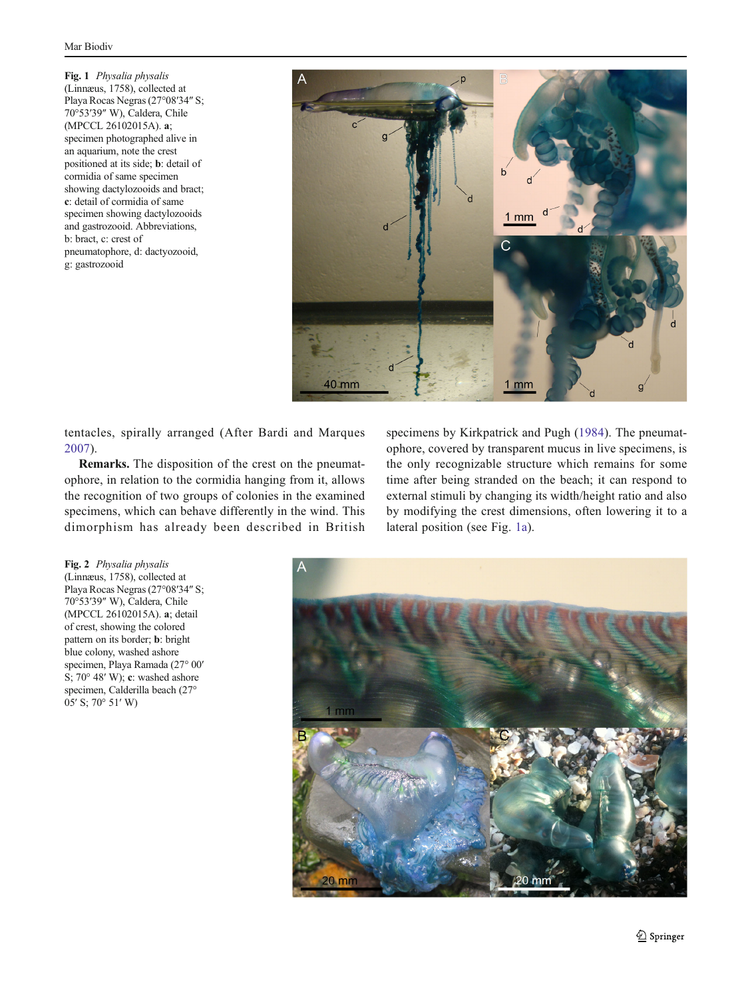<span id="page-2-0"></span>Fig. 1 Physalia physalis (Linnæus, 1758), collected at Playa Rocas Negras (27°08′34″ S; 70°53′39″ W), Caldera, Chile (MPCCL 26102015A). a; specimen photographed alive in an aquarium, note the crest positioned at its side; b: detail of cormidia of same specimen showing dactylozooids and bract; c: detail of cormidia of same specimen showing dactylozooids and gastrozooid. Abbreviations, b: bract, c: crest of pneumatophore, d: dactyozooid, g: gastrozooid



tentacles, spirally arranged (After Bardi and Marques [2007](#page-3-0)).

Remarks. The disposition of the crest on the pneumatophore, in relation to the cormidia hanging from it, allows the recognition of two groups of colonies in the examined specimens, which can behave differently in the wind. This dimorphism has already been described in British

specimens by Kirkpatrick and Pugh [\(1984\)](#page-4-0). The pneumatophore, covered by transparent mucus in live specimens, is the only recognizable structure which remains for some time after being stranded on the beach; it can respond to external stimuli by changing its width/height ratio and also by modifying the crest dimensions, often lowering it to a lateral position (see Fig. 1a).

Fig. 2 Physalia physalis (Linnæus, 1758), collected at Playa Rocas Negras (27°08′34″ S; 70°53′39″ W), Caldera, Chile (MPCCL 26102015A). a; detail of crest, showing the colored pattern on its border; b: bright blue colony, washed ashore specimen, Playa Ramada (27° 00′ S; 70° 48′ W); c: washed ashore specimen, Calderilla beach (27° 05′ S; 70° 51′ W)

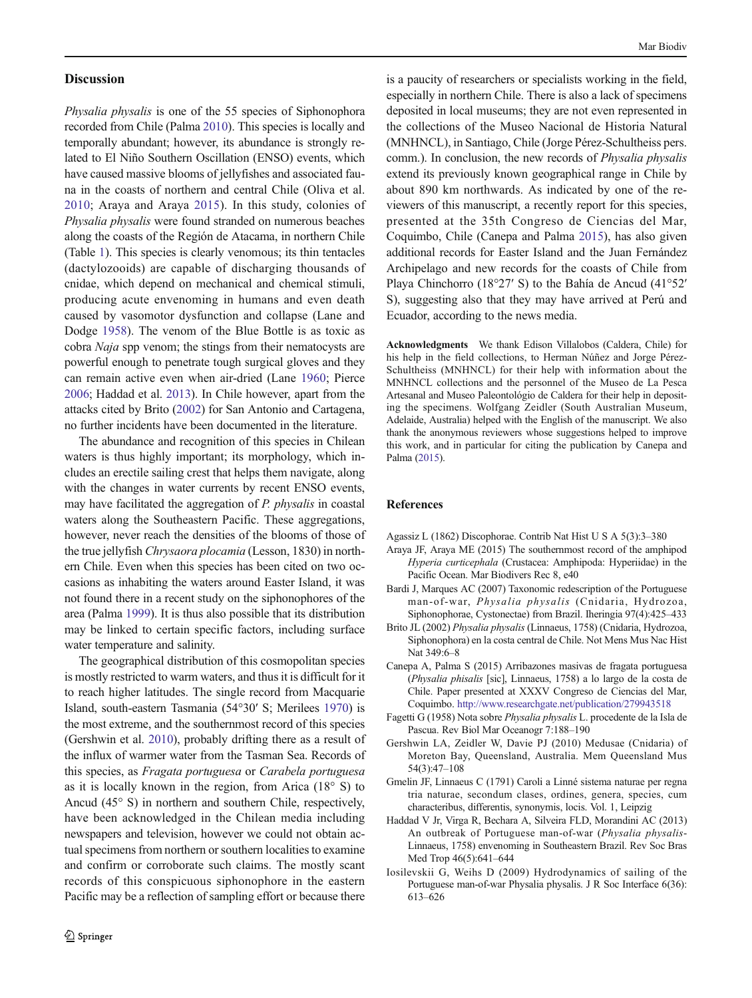### <span id="page-3-0"></span>**Discussion**

Physalia physalis is one of the 55 species of Siphonophora recorded from Chile (Palma [2010](#page-4-0)). This species is locally and temporally abundant; however, its abundance is strongly related to El Niño Southern Oscillation (ENSO) events, which have caused massive blooms of jellyfishes and associated fauna in the coasts of northern and central Chile (Oliva et al. [2010](#page-4-0); Araya and Araya 2015). In this study, colonies of Physalia physalis were found stranded on numerous beaches along the coasts of the Región de Atacama, in northern Chile (Table [1](#page-1-0)). This species is clearly venomous; its thin tentacles (dactylozooids) are capable of discharging thousands of cnidae, which depend on mechanical and chemical stimuli, producing acute envenoming in humans and even death caused by vasomotor dysfunction and collapse (Lane and Dodge [1958\)](#page-4-0). The venom of the Blue Bottle is as toxic as cobra Naja spp venom; the stings from their nematocysts are powerful enough to penetrate tough surgical gloves and they can remain active even when air-dried (Lane [1960](#page-4-0); Pierce [2006;](#page-4-0) Haddad et al. 2013). In Chile however, apart from the attacks cited by Brito (2002) for San Antonio and Cartagena, no further incidents have been documented in the literature.

The abundance and recognition of this species in Chilean waters is thus highly important; its morphology, which includes an erectile sailing crest that helps them navigate, along with the changes in water currents by recent ENSO events, may have facilitated the aggregation of P. physalis in coastal waters along the Southeastern Pacific. These aggregations, however, never reach the densities of the blooms of those of the true jellyfish Chrysaora plocamia (Lesson, 1830) in northern Chile. Even when this species has been cited on two occasions as inhabiting the waters around Easter Island, it was not found there in a recent study on the siphonophores of the area (Palma [1999](#page-4-0)). It is thus also possible that its distribution may be linked to certain specific factors, including surface water temperature and salinity.

The geographical distribution of this cosmopolitan species is mostly restricted to warm waters, and thus it is difficult for it to reach higher latitudes. The single record from Macquarie Island, south-eastern Tasmania (54°30′ S; Merilees [1970](#page-4-0)) is the most extreme, and the southernmost record of this species (Gershwin et al. 2010), probably drifting there as a result of the influx of warmer water from the Tasman Sea. Records of this species, as Fragata portuguesa or Carabela portuguesa as it is locally known in the region, from Arica (18° S) to Ancud (45° S) in northern and southern Chile, respectively, have been acknowledged in the Chilean media including newspapers and television, however we could not obtain actual specimens from northern or southern localities to examine and confirm or corroborate such claims. The mostly scant records of this conspicuous siphonophore in the eastern Pacific may be a reflection of sampling effort or because there

is a paucity of researchers or specialists working in the field, especially in northern Chile. There is also a lack of specimens deposited in local museums; they are not even represented in the collections of the Museo Nacional de Historia Natural (MNHNCL), in Santiago, Chile (Jorge Pérez-Schultheiss pers. comm.). In conclusion, the new records of Physalia physalis extend its previously known geographical range in Chile by about 890 km northwards. As indicated by one of the reviewers of this manuscript, a recently report for this species, presented at the 35th Congreso de Ciencias del Mar, Coquimbo, Chile (Canepa and Palma 2015), has also given additional records for Easter Island and the Juan Fernández Archipelago and new records for the coasts of Chile from Playa Chinchorro (18°27′ S) to the Bahía de Ancud (41°52′ S), suggesting also that they may have arrived at Perú and Ecuador, according to the news media.

Acknowledgments We thank Edison Villalobos (Caldera, Chile) for his help in the field collections, to Herman Núñez and Jorge Pérez-Schultheiss (MNHNCL) for their help with information about the MNHNCL collections and the personnel of the Museo de La Pesca Artesanal and Museo Paleontológio de Caldera for their help in depositing the specimens. Wolfgang Zeidler (South Australian Museum, Adelaide, Australia) helped with the English of the manuscript. We also thank the anonymous reviewers whose suggestions helped to improve this work, and in particular for citing the publication by Canepa and Palma (2015).

## References

- Agassiz L (1862) Discophorae. Contrib Nat Hist U S A 5(3):3–380
- Araya JF, Araya ME (2015) The southernmost record of the amphipod Hyperia curticephala (Crustacea: Amphipoda: Hyperiidae) in the Pacific Ocean. Mar Biodivers Rec 8, e40
- Bardi J, Marques AC (2007) Taxonomic redescription of the Portuguese man-of-war, Physalia physalis (Cnidaria, Hydrozoa, Siphonophorae, Cystonectae) from Brazil. Iheringia 97(4):425–433
- Brito JL (2002) Physalia physalis (Linnaeus, 1758) (Cnidaria, Hydrozoa, Siphonophora) en la costa central de Chile. Not Mens Mus Nac Hist Nat 349:6–8
- Canepa A, Palma S (2015) Arribazones masivas de fragata portuguesa (Physalia phisalis [sic], Linnaeus, 1758) a lo largo de la costa de Chile. Paper presented at XXXV Congreso de Ciencias del Mar, Coquimbo. <http://www.researchgate.net/publication/279943518>
- Fagetti G (1958) Nota sobre Physalia physalis L. procedente de la Isla de Pascua. Rev Biol Mar Oceanogr 7:188–190
- Gershwin LA, Zeidler W, Davie PJ (2010) Medusae (Cnidaria) of Moreton Bay, Queensland, Australia. Mem Queensland Mus 54(3):47–108
- Gmelin JF, Linnaeus C (1791) Caroli a Linné sistema naturae per regna tria naturae, secondum clases, ordines, genera, species, cum characteribus, differentis, synonymis, locis. Vol. 1, Leipzig
- Haddad V Jr, Virga R, Bechara A, Silveira FLD, Morandini AC (2013) An outbreak of Portuguese man-of-war (Physalia physalis-Linnaeus, 1758) envenoming in Southeastern Brazil. Rev Soc Bras Med Trop 46(5):641–644
- Iosilevskii G, Weihs D (2009) Hydrodynamics of sailing of the Portuguese man-of-war Physalia physalis. J R Soc Interface 6(36): 613–626